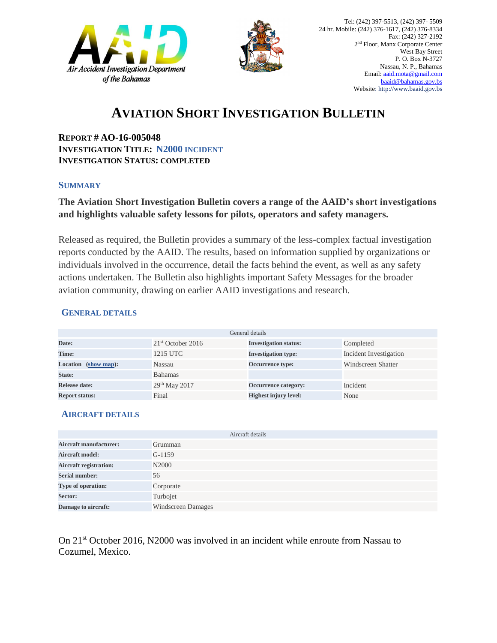



## **AVIATION SHORT INVESTIGATION BULLETIN**

**REPORT # AO-16-005048 INVESTIGATION TITLE: N2000 INCIDENT INVESTIGATION STATUS: COMPLETED**

#### **SUMMARY**

### **The Aviation Short Investigation Bulletin covers a range of the AAID's short investigations and highlights valuable safety lessons for pilots, operators and safety managers.**

Released as required, the Bulletin provides a summary of the less-complex factual investigation reports conducted by the AAID. The results, based on information supplied by organizations or individuals involved in the occurrence, detail the facts behind the event, as well as any safety actions undertaken. The Bulletin also highlights important Safety Messages for the broader aviation community, drawing on earlier AAID investigations and research.

#### **GENERAL DETAILS**

| General details                          |                     |                              |                        |
|------------------------------------------|---------------------|------------------------------|------------------------|
| Date:                                    | $21st$ October 2016 | <b>Investigation status:</b> | Completed              |
| Time:                                    | 1215 UTC            | <b>Investigation type:</b>   | Incident Investigation |
| $(\text{show map})$ :<br><b>Location</b> | Nassau              | Occurrence type:             | Windscreen Shatter     |
| State:                                   | <b>Bahamas</b>      |                              |                        |
| Release date:                            | $29th$ May 2017     | Occurrence category:         | Incident               |
| <b>Report status:</b>                    | Final               | <b>Highest injury level:</b> | None                   |

#### **AIRCRAFT DETAILS**

| Aircraft details              |                           |  |  |
|-------------------------------|---------------------------|--|--|
| <b>Aircraft manufacturer:</b> | Grumman                   |  |  |
| <b>Aircraft model:</b>        | $G-1159$                  |  |  |
| <b>Aircraft registration:</b> | N <sub>2000</sub>         |  |  |
| <b>Serial number:</b>         | 56                        |  |  |
| Type of operation:            | Corporate                 |  |  |
| Sector:                       | Turbojet                  |  |  |
| Damage to aircraft:           | <b>Windscreen Damages</b> |  |  |

On 21st October 2016, N2000 was involved in an incident while enroute from Nassau to Cozumel, Mexico.